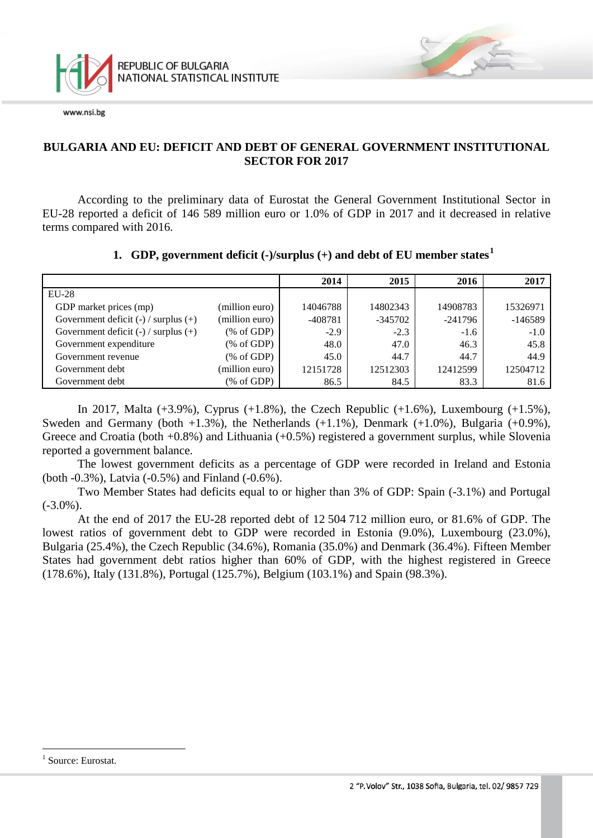

### **BULGARIA AND EU: DEFICIT AND DEBT OF GENERAL GOVERNMENT INSTITUTIONAL SECTOR FOR 2017**

According to the preliminary data of Eurostat the General Government Institutional Sector in EU-28 reported a deficit of 146 589 million euro or 1.0% of GDP in 2017 and it decreased in relative terms compared with 2016.

### **1. GDP, government deficit (-)/surplus (+) and debt of EU member states[1](#page-0-0)**

|                                          |                | 2014      | 2015      | 2016      | 2017      |
|------------------------------------------|----------------|-----------|-----------|-----------|-----------|
| $EU-28$                                  |                |           |           |           |           |
| GDP market prices (mp)                   | (million euro) | 14046788  | 14802343  | 14908783  | 15326971  |
| Government deficit $(-)$ / surplus $(+)$ | (million euro) | $-408781$ | $-345702$ | $-241796$ | $-146589$ |
| Government deficit $(-)$ / surplus $(+)$ | % of GDP       | $-2.9$    | $-2.3$    | $-1.6$    | $-1.0$    |
| Government expenditure                   | % of GDP       | 48.0      | 47.0      | 46.3      | 45.8      |
| Government revenue                       | % of GDP       | 45.0      | 44.7      | 44.7      | 44.9      |
| Government debt                          | (million euro) | 12151728  | 12512303  | 12412599  | 12504712  |
| Government debt                          | % of GDP       | 86.5      | 84.5      | 83.3      | 81.6      |

In 2017, Malta  $(+3.9\%)$ , Cyprus  $(+1.8\%)$ , the Czech Republic  $(+1.6\%)$ , Luxembourg  $(+1.5\%)$ , Sweden and Germany (both  $+1.3\%$ ), the Netherlands  $(+1.1\%)$ , Denmark  $(+1.0\%)$ , Bulgaria  $(+0.9\%)$ , Greece and Croatia (both +0.8%) and Lithuania (+0.5%) registered a government surplus, while Slovenia reported a government balance.

The lowest government deficits as a percentage of GDP were recorded in Ireland and Estonia (both -0.3%), Latvia (-0.5%) and Finland (-0.6%).

Two Member States had deficits equal to or higher than 3% of GDP: Spain (-3.1%) and Portugal  $(-3.0\%)$ .

At the end of 2017 the EU-28 reported debt of 12 504 712 million euro, or 81.6% of GDP. The lowest ratios of government debt to GDP were recorded in Estonia (9.0%), Luxembourg (23.0%), Bulgaria (25.4%), the Czech Republic (34.6%), Romania (35.0%) and Denmark (36.4%). Fifteen Member States had government debt ratios higher than 60% of GDP, with the highest registered in Greece (178.6%), Italy (131.8%), Portugal (125.7%), Belgium (103.1%) and Spain (98.3%).

<span id="page-0-0"></span><sup>&</sup>lt;sup>1</sup> Source: Eurostat.  $\frac{1}{1}$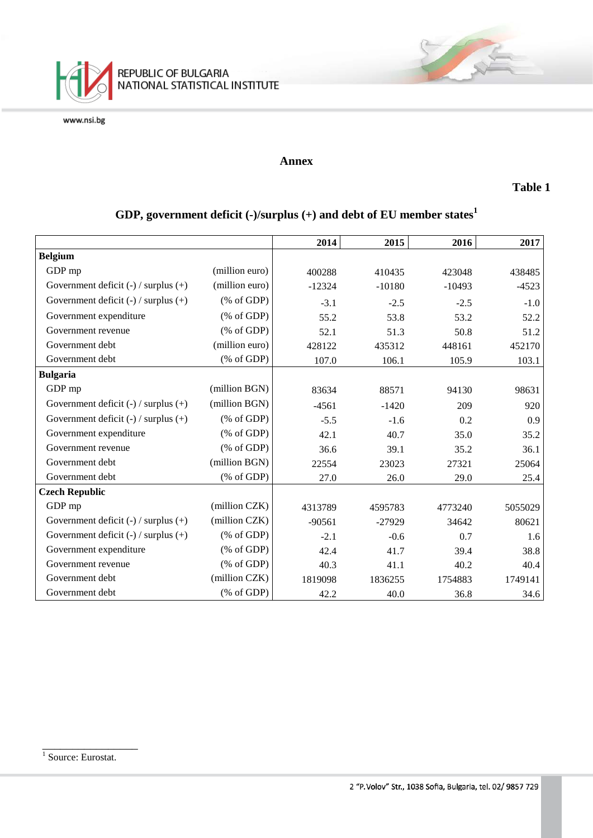

#### **Annex**

#### **Table 1**

# **GDP, government deficit (-)/surplus (+) and debt of EU member states<sup>1</sup>**

|                                          |                                                       | 2014     | 2015     | 2016     | 2017    |
|------------------------------------------|-------------------------------------------------------|----------|----------|----------|---------|
| <b>Belgium</b>                           |                                                       |          |          |          |         |
|                                          |                                                       |          |          |          |         |
| GDP mp                                   | (million euro)                                        | 400288   | 410435   | 423048   | 438485  |
| Government deficit $(-)$ / surplus $(+)$ | (million euro)                                        | $-12324$ | $-10180$ | $-10493$ | $-4523$ |
| Government deficit $(-)$ / surplus $(+)$ | $(% \mathcal{L}_{0}^{\infty}$ (% of GDP)              | $-3.1$   | $-2.5$   | $-2.5$   | $-1.0$  |
| Government expenditure                   | $(% \mathcal{L}_{0} \cap \mathcal{L}_{1})$ (% of GDP) | 55.2     | 53.8     | 53.2     | 52.2    |
| Government revenue                       | $(% \mathcal{L}_{0} \cap \mathcal{L}_{1})$ (% of GDP) | 52.1     | 51.3     | 50.8     | 51.2    |
| Government debt                          | (million euro)                                        | 428122   | 435312   | 448161   | 452170  |
| Government debt                          | $(% \mathcal{L}_{0} \cap \mathcal{L}_{1})$ (% of GDP) | 107.0    | 106.1    | 105.9    | 103.1   |
| <b>Bulgaria</b>                          |                                                       |          |          |          |         |
| GDP mp                                   | (million BGN)                                         | 83634    | 88571    | 94130    | 98631   |
| Government deficit $(-)$ / surplus $(+)$ | (million BGN)                                         | $-4561$  | $-1420$  | 209      | 920     |
| Government deficit $(-)$ / surplus $(+)$ | $(% \mathcal{L}_{0}^{\infty}$ (% of GDP)              | $-5.5$   | $-1.6$   | 0.2      | 0.9     |
| Government expenditure                   | $(% \mathcal{L}_{0}^{\mathcal{L}_{0}})$ (% of GDP)    | 42.1     | 40.7     | 35.0     | 35.2    |
| Government revenue                       | $(% \mathcal{L}_{0}^{\infty}$ (% of GDP)              | 36.6     | 39.1     | 35.2     | 36.1    |
| Government debt                          | (million BGN)                                         | 22554    | 23023    | 27321    | 25064   |
| Government debt                          | $(% \mathcal{L}_{0} \cap \mathcal{L}_{1})$ (% of GDP) | 27.0     | 26.0     | 29.0     | 25.4    |
| <b>Czech Republic</b>                    |                                                       |          |          |          |         |
| GDP mp                                   | (million CZK)                                         | 4313789  | 4595783  | 4773240  | 5055029 |
| Government deficit $(-)$ / surplus $(+)$ | (million CZK)                                         | $-90561$ | $-27929$ | 34642    | 80621   |
| Government deficit $(-)$ / surplus $(+)$ | $(% \mathcal{L}_{0}^{\mathcal{L}_{0}})$ (% of GDP)    | $-2.1$   | $-0.6$   | 0.7      | 1.6     |
| Government expenditure                   | $(% \mathcal{L}_{0}^{\infty}$ (% of GDP)              | 42.4     | 41.7     | 39.4     | 38.8    |
| Government revenue                       | $(% \mathcal{L}_{0}^{\infty}$ (% of GDP)              | 40.3     | 41.1     | 40.2     | 40.4    |
| Government debt                          | (million CZK)                                         | 1819098  | 1836255  | 1754883  | 1749141 |
| Government debt                          | $(% \mathcal{L}_{0} \cap \mathcal{L}_{1})$ (% of GDP) | 42.2     | 40.0     | 36.8     | 34.6    |

\_\_\_\_\_\_\_\_\_\_\_\_\_\_\_\_

<sup>&</sup>lt;sup>1</sup> Source: Eurostat.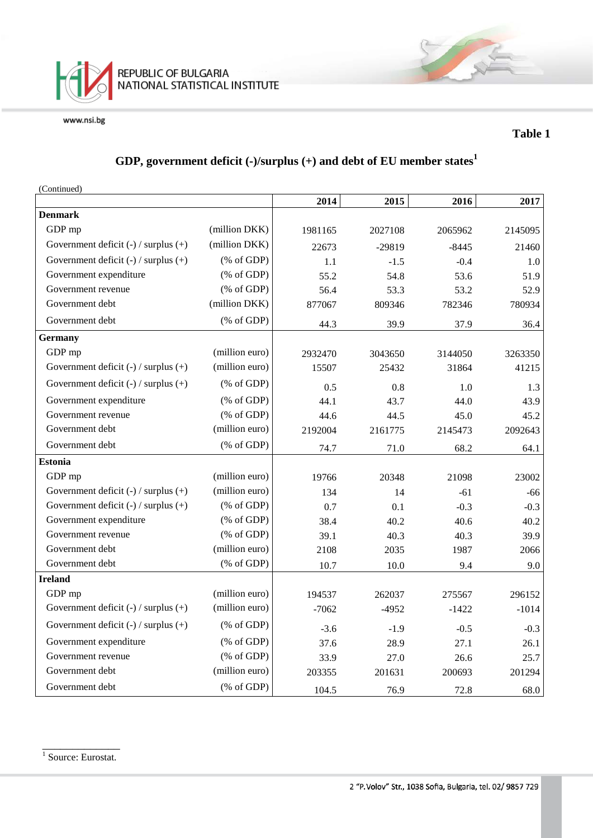

### **Table 1**

## **GDP, government deficit (-)/surplus (+) and debt of EU member states<sup>1</sup>**

(Continued)

|                                          |                                                                | 2014    | 2015     | 2016    | 2017    |
|------------------------------------------|----------------------------------------------------------------|---------|----------|---------|---------|
| <b>Denmark</b>                           |                                                                |         |          |         |         |
| GDP mp                                   | (million DKK)                                                  | 1981165 | 2027108  | 2065962 | 2145095 |
| Government deficit $(-)$ / surplus $(+)$ | (million DKK)                                                  | 22673   | $-29819$ | $-8445$ | 21460   |
| Government deficit $(-)$ / surplus $(+)$ | $(% \mathcal{L}_{0} \cap \mathcal{L}_{1})$ (% of GDP)          | 1.1     | $-1.5$   | $-0.4$  | 1.0     |
| Government expenditure                   | $(% \mathcal{L}_{0}^{\infty}$ (% of GDP)                       | 55.2    | 54.8     | 53.6    | 51.9    |
| Government revenue                       | $(% \mathcal{L}_{0} \cap \mathcal{L}_{1})$ (% of GDP)          | 56.4    | 53.3     | 53.2    | 52.9    |
| Government debt                          | (million DKK)                                                  | 877067  | 809346   | 782346  | 780934  |
| Government debt                          | $(% \mathcal{L}_{0} \cap \mathcal{L}_{1})$ (% of GDP)          | 44.3    | 39.9     | 37.9    | 36.4    |
| <b>Germany</b>                           |                                                                |         |          |         |         |
| GDP mp                                   | (million euro)                                                 | 2932470 | 3043650  | 3144050 | 3263350 |
| Government deficit $(-)$ / surplus $(+)$ | (million euro)                                                 | 15507   | 25432    | 31864   | 41215   |
| Government deficit $(-)$ / surplus $(+)$ | $(% \mathcal{L}_{0} \cap \mathcal{L}_{1})$ (% of GDP)          | 0.5     | 0.8      | 1.0     | 1.3     |
| Government expenditure                   | $(% \mathcal{L}_{0} \cap \mathcal{L}_{1})$ (% of GDP)          | 44.1    | 43.7     | 44.0    | 43.9    |
| Government revenue                       | $(% \mathcal{L}_{0} \cap \mathcal{L}_{1})$ (% of GDP)          | 44.6    | 44.5     | 45.0    | 45.2    |
| Government debt                          | (million euro)                                                 | 2192004 | 2161775  | 2145473 | 2092643 |
| Government debt                          | $(% \mathcal{L}_{0} \cap \mathcal{L}_{1})$ (% of GDP)          | 74.7    | 71.0     | 68.2    | 64.1    |
| <b>Estonia</b>                           |                                                                |         |          |         |         |
| GDP mp                                   | (million euro)                                                 | 19766   | 20348    | 21098   | 23002   |
| Government deficit $(-)$ / surplus $(+)$ | (million euro)                                                 | 134     | 14       | $-61$   | $-66$   |
| Government deficit $(-)$ / surplus $(+)$ | $(% \mathcal{L}_{0}^{\ast} \times \mathcal{L}_{1})$ (% of GDP) | 0.7     | 0.1      | $-0.3$  | $-0.3$  |
| Government expenditure                   | $(% \mathcal{L}_{0} \cap \mathcal{L}_{1})$ (% of GDP)          | 38.4    | 40.2     | 40.6    | 40.2    |
| Government revenue                       | $(% \mathcal{L}_{0} \cap \mathcal{L}_{1})$ (% of GDP)          | 39.1    | 40.3     | 40.3    | 39.9    |
| Government debt                          | (million euro)                                                 | 2108    | 2035     | 1987    | 2066    |
| Government debt                          | (% of GDP)                                                     | 10.7    | 10.0     | 9.4     | 9.0     |
| <b>Ireland</b>                           |                                                                |         |          |         |         |
| GDP mp                                   | (million euro)                                                 | 194537  | 262037   | 275567  | 296152  |
| Government deficit $(-)$ / surplus $(+)$ | (million euro)                                                 | $-7062$ | $-4952$  | $-1422$ | $-1014$ |
| Government deficit $(-)$ / surplus $(+)$ | $(% \mathcal{L}_{0} \cap \mathcal{L}_{1})$ (% of GDP)          | $-3.6$  | $-1.9$   | $-0.5$  | $-0.3$  |
| Government expenditure                   | $(% \mathcal{L}_{0}^{\infty}$ (% of GDP)                       | 37.6    | 28.9     | 27.1    | 26.1    |
| Government revenue                       | $(% \mathcal{L}_{0} \cap \mathcal{L}_{1})$ (% of GDP)          | 33.9    | 27.0     | 26.6    | 25.7    |
| Government debt                          | (million euro)                                                 | 203355  | 201631   | 200693  | 201294  |
| Government debt                          | $(% \mathcal{L}_{0} \cap \mathcal{L}_{1})$ (% of GDP)          | 104.5   | 76.9     | 72.8    | 68.0    |

\_\_\_\_\_\_\_\_\_\_\_\_\_ <sup>1</sup> Source: Eurostat.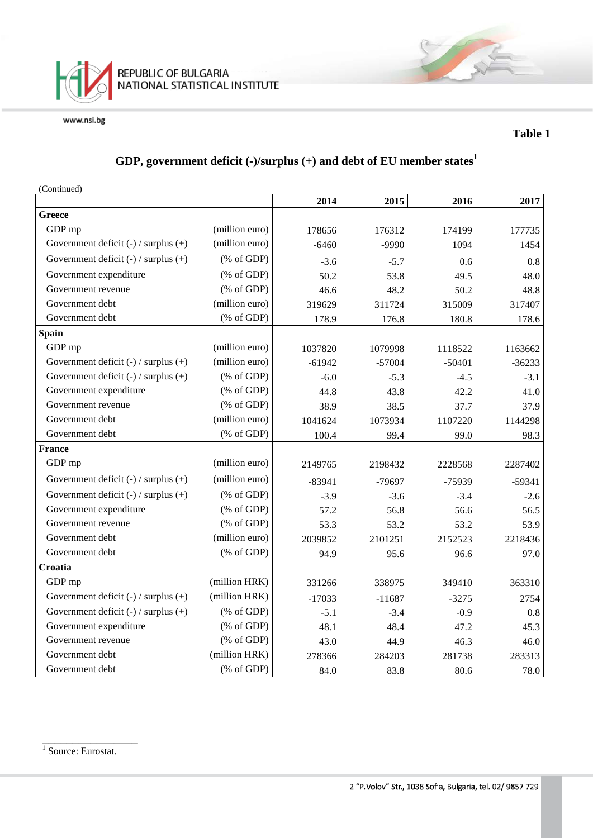

### **Table 1**

## **GDP, government deficit (-)/surplus (+) and debt of EU member states<sup>1</sup>**

(Continued)

|                                          |                                                                 | 2014     | 2015     | 2016     | 2017     |
|------------------------------------------|-----------------------------------------------------------------|----------|----------|----------|----------|
| Greece                                   |                                                                 |          |          |          |          |
| GDP mp                                   | (million euro)                                                  | 178656   | 176312   | 174199   | 177735   |
| Government deficit (-) / surplus (+)     | (million euro)                                                  | $-6460$  | -9990    | 1094     | 1454     |
| Government deficit $(-)$ / surplus $(+)$ | $(% \mathcal{L}_{0} \cap \mathcal{L}_{1})$ (% of GDP)           | $-3.6$   | $-5.7$   | 0.6      | 0.8      |
| Government expenditure                   | $(% \mathcal{L}_{0} \cap \mathcal{L}_{1})$ (% of GDP)           | 50.2     | 53.8     | 49.5     | 48.0     |
| Government revenue                       | $(% \mathcal{L}_{0} \cap \mathcal{L}_{1})$ (% of GDP)           | 46.6     | 48.2     | 50.2     | 48.8     |
| Government debt                          | (million euro)                                                  | 319629   | 311724   | 315009   | 317407   |
| Government debt                          | $(% \mathcal{L}_{0} \cap \mathcal{L}_{1})$ (% of GDP)           | 178.9    | 176.8    | 180.8    | 178.6    |
| <b>Spain</b>                             |                                                                 |          |          |          |          |
| GDP mp                                   | (million euro)                                                  | 1037820  | 1079998  | 1118522  | 1163662  |
| Government deficit (-) / surplus (+)     | (million euro)                                                  | $-61942$ | $-57004$ | $-50401$ | $-36233$ |
| Government deficit $(-)$ / surplus $(+)$ | $(% \mathcal{L}_{0}^{\ast }\otimes \mathcal{L}_{1})$ (% of GDP) | $-6.0$   | $-5.3$   | $-4.5$   | $-3.1$   |
| Government expenditure                   | $(% \mathcal{L}_{0} \cap \mathcal{L}_{1})$ (% of GDP)           | 44.8     | 43.8     | 42.2     | 41.0     |
| Government revenue                       | $(% \mathcal{L}_{0} \cap \mathcal{L}_{1})$ (% of GDP)           | 38.9     | 38.5     | 37.7     | 37.9     |
| Government debt                          | (million euro)                                                  | 1041624  | 1073934  | 1107220  | 1144298  |
| Government debt                          | (% of GDP)                                                      | 100.4    | 99.4     | 99.0     | 98.3     |
| <b>France</b>                            |                                                                 |          |          |          |          |
| GDP mp                                   | (million euro)                                                  | 2149765  | 2198432  | 2228568  | 2287402  |
| Government deficit $(-)$ / surplus $(+)$ | (million euro)                                                  | $-83941$ | -79697   | $-75939$ | $-59341$ |
| Government deficit $(-)$ / surplus $(+)$ | $(% \mathcal{L}_{0} \cap \mathcal{L}_{1})$ (% of GDP)           | $-3.9$   | $-3.6$   | $-3.4$   | $-2.6$   |
| Government expenditure                   | $(% \mathcal{L}_{0} \cap \mathcal{L}_{1})$ (% of GDP)           | 57.2     | 56.8     | 56.6     | 56.5     |
| Government revenue                       | $(% \mathcal{L}_{0} \cap \mathcal{L}_{1})$ (% of GDP)           | 53.3     | 53.2     | 53.2     | 53.9     |
| Government debt                          | (million euro)                                                  | 2039852  | 2101251  | 2152523  | 2218436  |
| Government debt                          | $(% \mathcal{L}_{0} \cap \mathcal{L}_{1})$ (% of GDP)           | 94.9     | 95.6     | 96.6     | 97.0     |
| Croatia                                  |                                                                 |          |          |          |          |
| GDP mp                                   | (million HRK)                                                   | 331266   | 338975   | 349410   | 363310   |
| Government deficit $(-)$ / surplus $(+)$ | (million HRK)                                                   | $-17033$ | $-11687$ | $-3275$  | 2754     |
| Government deficit $(-)$ / surplus $(+)$ | $(% \mathcal{L}_{0} \cap \mathcal{L}_{1})$ (% of GDP)           | $-5.1$   | $-3.4$   | $-0.9$   | 0.8      |
| Government expenditure                   | $(% \mathcal{L}_{0} \cap \mathcal{L}_{1})$ (% of GDP)           | 48.1     | 48.4     | 47.2     | 45.3     |
| Government revenue                       | $(% \mathcal{L}_{0} \cap \mathcal{L}_{1})$ (% of GDP)           | 43.0     | 44.9     | 46.3     | 46.0     |
| Government debt                          | (million HRK)                                                   | 278366   | 284203   | 281738   | 283313   |
| Government debt                          | $(% \mathcal{L}_{0} \cap \mathcal{L}_{1})$ (% of GDP)           | 84.0     | 83.8     | 80.6     | 78.0     |

\_\_\_\_\_\_\_\_\_\_\_\_\_\_\_\_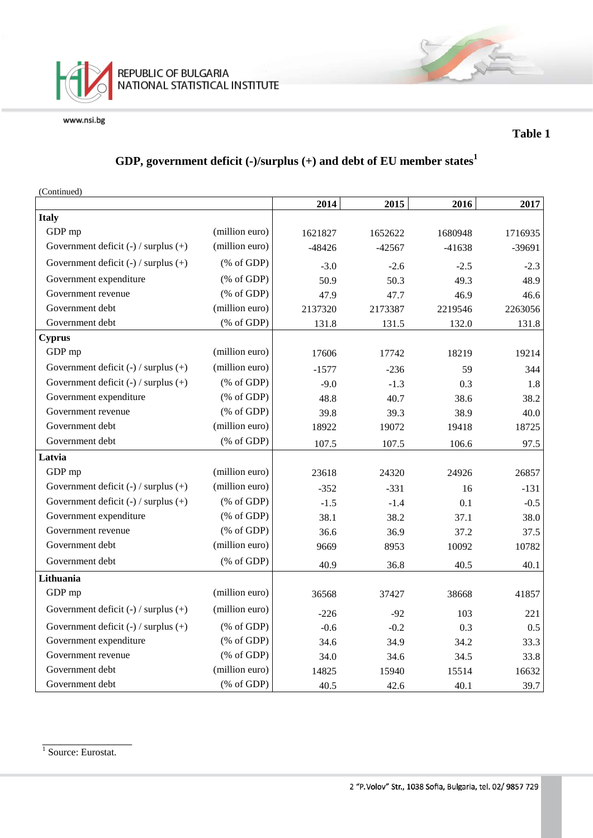

### **Table 1**

## **GDP, government deficit (-)/surplus (+) and debt of EU member states<sup>1</sup>**

| (Continued)                              |                                                               |          |          |          |          |
|------------------------------------------|---------------------------------------------------------------|----------|----------|----------|----------|
|                                          |                                                               | 2014     | 2015     | 2016     | 2017     |
| <b>Italy</b>                             |                                                               |          |          |          |          |
| GDP mp                                   | (million euro)                                                | 1621827  | 1652622  | 1680948  | 1716935  |
| Government deficit $(-)$ / surplus $(+)$ | (million euro)                                                | $-48426$ | $-42567$ | $-41638$ | $-39691$ |
| Government deficit $(-)$ / surplus $(+)$ | $(% \mathcal{L}_{0}^{\infty}$ (% of GDP)                      | $-3.0$   | $-2.6$   | $-2.5$   | $-2.3$   |
| Government expenditure                   | $(% \mathcal{L}_{0}$ (% of GDP)                               | 50.9     | 50.3     | 49.3     | 48.9     |
| Government revenue                       | $(% \mathcal{L}_{0}$ (% of GDP)                               | 47.9     | 47.7     | 46.9     | 46.6     |
| Government debt                          | (million euro)                                                | 2137320  | 2173387  | 2219546  | 2263056  |
| Government debt                          | $(% \mathcal{L}_{0} \cap \mathcal{L}_{1})$ (% of GDP)         | 131.8    | 131.5    | 132.0    | 131.8    |
| <b>Cyprus</b>                            |                                                               |          |          |          |          |
| GDP mp                                   | (million euro)                                                | 17606    | 17742    | 18219    | 19214    |
| Government deficit $(-)$ / surplus $(+)$ | (million euro)                                                | $-1577$  | $-236$   | 59       | 344      |
| Government deficit $(-)$ / surplus $(+)$ | $(% \mathcal{L}_{0} \cap \mathcal{L}_{1})$ (% of GDP)         | $-9.0$   | $-1.3$   | 0.3      | 1.8      |
| Government expenditure                   | $(% \mathcal{L}_{0}^{\infty}$ (% of GDP)                      | 48.8     | 40.7     | 38.6     | 38.2     |
| Government revenue                       | $(% \mathcal{L}_{0} \cap \mathcal{L}_{1})$ (% of GDP)         | 39.8     | 39.3     | 38.9     | 40.0     |
| Government debt                          | (million euro)                                                | 18922    | 19072    | 19418    | 18725    |
| Government debt                          | $(% \mathcal{L}_{0}$ (% of GDP)                               | 107.5    | 107.5    | 106.6    | 97.5     |
| Latvia                                   |                                                               |          |          |          |          |
| GDP mp                                   | (million euro)                                                | 23618    | 24320    | 24926    | 26857    |
| Government deficit $(-)$ / surplus $(+)$ | (million euro)                                                | $-352$   | $-331$   | 16       | $-131$   |
| Government deficit $(-)$ / surplus $(+)$ | $(% \mathcal{L}_{0}$ (% of GDP)                               | $-1.5$   | $-1.4$   | 0.1      | $-0.5$   |
| Government expenditure                   | $(% \mathcal{L}_{0}^{\infty}$ (% of GDP)                      | 38.1     | 38.2     | 37.1     | 38.0     |
| Government revenue                       | $(% \mathcal{L}_{0} \cap \mathcal{L}_{1})$ (% of GDP)         | 36.6     | 36.9     | 37.2     | 37.5     |
| Government debt                          | (million euro)                                                | 9669     | 8953     | 10092    | 10782    |
| Government debt                          | $(% \mathcal{L}_{0} \cap \mathcal{L}_{1})$ (% of GDP)         | 40.9     | 36.8     | 40.5     | 40.1     |
| Lithuania                                |                                                               |          |          |          |          |
| GDP mp                                   | (million euro)                                                | 36568    | 37427    | 38668    | 41857    |
| Government deficit $(-)$ / surplus $(+)$ | (million euro)                                                | $-226$   | $-92$    | 103      | 221      |
| Government deficit $(-)$ / surplus $(+)$ | $(% \mathcal{L}_{0}$ (% of GDP)                               | $-0.6$   | $-0.2$   | 0.3      | 0.5      |
| Government expenditure                   | $(% \mathcal{L}_{0}^{\ast }\circ \mathcal{L}_{1})$ (% of GDP) | 34.6     | 34.9     | 34.2     | 33.3     |
| Government revenue                       | $(% \mathcal{L}_{0} \cap \mathcal{L}_{1})$ (% of GDP)         | 34.0     | 34.6     | 34.5     | 33.8     |
| Government debt                          | (million euro)                                                | 14825    | 15940    | 15514    | 16632    |
| Government debt                          | $(% \mathcal{L}_{0} \cap \mathcal{L}_{1})$ (% of GDP)         | 40.5     | 42.6     | 40.1     | 39.7     |

<sup>1</sup> Source: Eurostat.

\_\_\_\_\_\_\_\_\_\_\_\_\_\_\_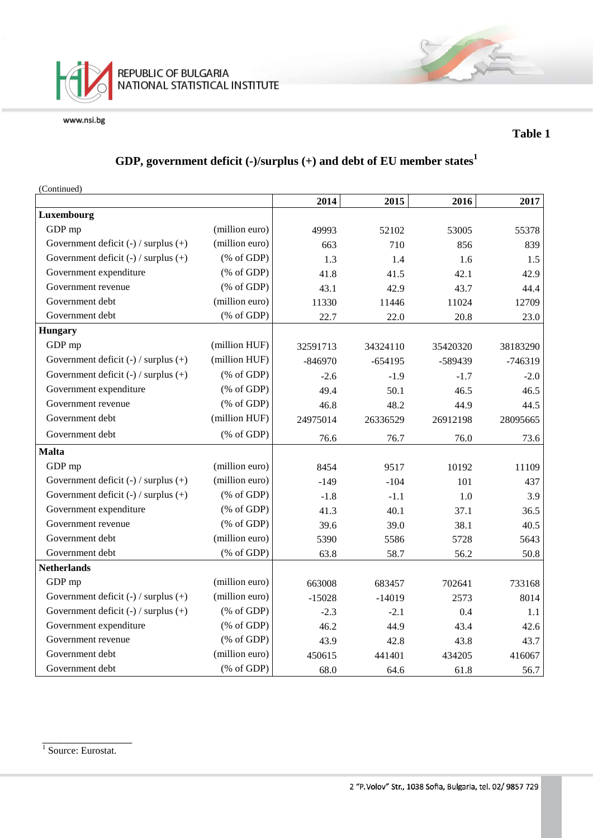

### **Table 1**

## **GDP, government deficit (-)/surplus (+) and debt of EU member states<sup>1</sup>**

(Continued)

|                                          |                                                       | 2014      | 2015      | 2016     | 2017     |
|------------------------------------------|-------------------------------------------------------|-----------|-----------|----------|----------|
| Luxembourg                               |                                                       |           |           |          |          |
| GDP mp                                   | (million euro)                                        | 49993     | 52102     | 53005    | 55378    |
| Government deficit (-) / surplus (+)     | (million euro)                                        | 663       | 710       | 856      | 839      |
| Government deficit $(-)$ / surplus $(+)$ | $(% \mathcal{L}_{0} \cap \mathcal{L}_{1})$ (% of GDP) | 1.3       | 1.4       | 1.6      | 1.5      |
| Government expenditure                   | $(% \mathcal{L}_{0} \cap \mathcal{L}_{1})$ (% of GDP) | 41.8      | 41.5      | 42.1     | 42.9     |
| Government revenue                       | $(% \mathcal{L}_{0} \cap \mathcal{L}_{1})$ (% of GDP) | 43.1      | 42.9      | 43.7     | 44.4     |
| Government debt                          | (million euro)                                        | 11330     | 11446     | 11024    | 12709    |
| Government debt                          | $(% \mathcal{L}_{0}$ (% of GDP)                       | 22.7      | 22.0      | 20.8     | 23.0     |
| <b>Hungary</b>                           |                                                       |           |           |          |          |
| GDP mp                                   | (million HUF)                                         | 32591713  | 34324110  | 35420320 | 38183290 |
| Government deficit $(-)$ / surplus $(+)$ | (million HUF)                                         | $-846970$ | $-654195$ | -589439  | -746319  |
| Government deficit $(-)$ / surplus $(+)$ | $(% \mathcal{L}_{0} \cap \mathcal{L}_{1})$ (% of GDP) | $-2.6$    | $-1.9$    | $-1.7$   | $-2.0$   |
| Government expenditure                   | $(% \mathcal{L}_{0} \cap \mathcal{L}_{1})$ (% of GDP) | 49.4      | 50.1      | 46.5     | 46.5     |
| Government revenue                       | $(% \mathcal{L}_{0} \cap \mathcal{L}_{1})$ (% of GDP) | 46.8      | 48.2      | 44.9     | 44.5     |
| Government debt                          | (million HUF)                                         | 24975014  | 26336529  | 26912198 | 28095665 |
| Government debt                          | $(% \mathcal{L}_{0} \cap \mathcal{L}_{1})$ (% of GDP) | 76.6      | 76.7      | 76.0     | 73.6     |
| <b>Malta</b>                             |                                                       |           |           |          |          |
| GDP mp                                   | (million euro)                                        | 8454      | 9517      | 10192    | 11109    |
| Government deficit $(-)$ / surplus $(+)$ | (million euro)                                        | $-149$    | $-104$    | 101      | 437      |
| Government deficit $(-)$ / surplus $(+)$ | $(% \mathcal{L}_{0} \cap \mathcal{L}_{1})$ (% of GDP) | $-1.8$    | $-1.1$    | 1.0      | 3.9      |
| Government expenditure                   | $(% \mathcal{L}_{0} \cap \mathcal{L}_{1})$ (% of GDP) | 41.3      | 40.1      | 37.1     | 36.5     |
| Government revenue                       | $(% \mathcal{L}_{0} \cap \mathcal{L}_{1})$ (% of GDP) | 39.6      | 39.0      | 38.1     | 40.5     |
| Government debt                          | (million euro)                                        | 5390      | 5586      | 5728     | 5643     |
| Government debt                          | $(% \mathcal{L}_{0}$ (% of GDP)                       | 63.8      | 58.7      | 56.2     | 50.8     |
| <b>Netherlands</b>                       |                                                       |           |           |          |          |
| GDP mp                                   | (million euro)                                        | 663008    | 683457    | 702641   | 733168   |
| Government deficit $(-)$ / surplus $(+)$ | (million euro)                                        | $-15028$  | $-14019$  | 2573     | 8014     |
| Government deficit $(-)$ / surplus $(+)$ | $(% \mathcal{L}_{0} \cap \mathcal{L}_{1})$ (% of GDP) | $-2.3$    | $-2.1$    | 0.4      | 1.1      |
| Government expenditure                   | $(% \mathcal{L}_{0} \cap \mathcal{L}_{1})$ (% of GDP) | 46.2      | 44.9      | 43.4     | 42.6     |
| Government revenue                       | $(% \mathcal{L}_{0} \cap \mathcal{L}_{1})$ (% of GDP) | 43.9      | 42.8      | 43.8     | 43.7     |
| Government debt                          | (million euro)                                        | 450615    | 441401    | 434205   | 416067   |
| Government debt                          | $(% \mathcal{L}_{0} \cap \mathcal{L}_{1})$ (% of GDP) | 68.0      | 64.6      | 61.8     | 56.7     |

\_\_\_\_\_\_\_\_\_\_\_\_\_\_\_ <sup>1</sup> Source: Eurostat.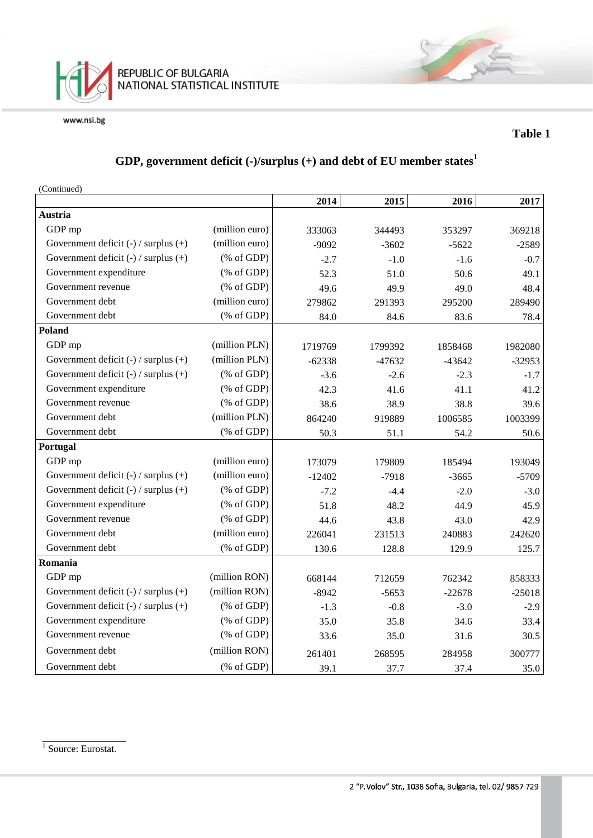

### **Table 1**

## **GDP, government deficit (-)/surplus (+) and debt of EU member states<sup>1</sup>**

(Continued)

|                                          |                                                       | 2014     | 2015     | 2016     | 2017     |
|------------------------------------------|-------------------------------------------------------|----------|----------|----------|----------|
| Austria                                  |                                                       |          |          |          |          |
| GDP mp                                   | (million euro)                                        | 333063   | 344493   | 353297   | 369218   |
| Government deficit (-) / surplus (+)     | (million euro)                                        | $-9092$  | $-3602$  | $-5622$  | $-2589$  |
| Government deficit $(-)$ / surplus $(+)$ | $(% \mathcal{L}_{0} \cap \mathcal{L}_{1})$ (% of GDP) | $-2.7$   | $-1.0$   | $-1.6$   | $-0.7$   |
| Government expenditure                   | $(% \mathcal{L}_{0} \cap \mathcal{L}_{1})$ (% of GDP) | 52.3     | 51.0     | 50.6     | 49.1     |
| Government revenue                       | $(% \mathcal{L}_{0} \cap \mathcal{L}_{1})$ (% of GDP) | 49.6     | 49.9     | 49.0     | 48.4     |
| Government debt                          | (million euro)                                        | 279862   | 291393   | 295200   | 289490   |
| Government debt                          | $(% \mathcal{L}_{0} \cap \mathcal{L}_{1})$ (% of GDP) | 84.0     | 84.6     | 83.6     | 78.4     |
| Poland                                   |                                                       |          |          |          |          |
| GDP mp                                   | (million PLN)                                         | 1719769  | 1799392  | 1858468  | 1982080  |
| Government deficit $(-)$ / surplus $(+)$ | (million PLN)                                         | $-62338$ | $-47632$ | $-43642$ | $-32953$ |
| Government deficit $(-)$ / surplus $(+)$ | $(% \mathcal{L}_{0} \cap \mathcal{L}_{1})$ (% of GDP) | $-3.6$   | $-2.6$   | $-2.3$   | $-1.7$   |
| Government expenditure                   | $(% \mathcal{L}_{0} \cap \mathcal{L}_{1})$ (% of GDP) | 42.3     | 41.6     | 41.1     | 41.2     |
| Government revenue                       | $(% \mathcal{L}_{0} \cap \mathcal{L}_{1})$ (% of GDP) | 38.6     | 38.9     | 38.8     | 39.6     |
| Government debt                          | (million PLN)                                         | 864240   | 919889   | 1006585  | 1003399  |
| Government debt                          | $(% \mathcal{L}_{0} \cap \mathcal{L}_{1})$ (% of GDP) | 50.3     | 51.1     | 54.2     | 50.6     |
| Portugal                                 |                                                       |          |          |          |          |
| GDP mp                                   | (million euro)                                        | 173079   | 179809   | 185494   | 193049   |
| Government deficit $(-)$ / surplus $(+)$ | (million euro)                                        | $-12402$ | $-7918$  | $-3665$  | $-5709$  |
| Government deficit $(-)$ / surplus $(+)$ | $(% \mathcal{L}_{0} \cap \mathcal{L}_{1})$ (% of GDP) | $-7.2$   | $-4.4$   | $-2.0$   | $-3.0$   |
| Government expenditure                   | $(% \mathcal{L}_{0} \cap \mathcal{L}_{1})$ (% of GDP) | 51.8     | 48.2     | 44.9     | 45.9     |
| Government revenue                       | $(% \mathcal{L}_{0} \cap \mathcal{L}_{1})$ (% of GDP) | 44.6     | 43.8     | 43.0     | 42.9     |
| Government debt                          | (million euro)                                        | 226041   | 231513   | 240883   | 242620   |
| Government debt                          | $(% \mathcal{L}_{0} \cap \mathcal{L}_{1})$ (% of GDP) | 130.6    | 128.8    | 129.9    | 125.7    |
| Romania                                  |                                                       |          |          |          |          |
| GDP mp                                   | (million RON)                                         | 668144   | 712659   | 762342   | 858333   |
| Government deficit $(-)$ / surplus $(+)$ | (million RON)                                         | $-8942$  | $-5653$  | $-22678$ | $-25018$ |
| Government deficit $(-)$ / surplus $(+)$ | $(% \mathcal{L}_{0} \cap \mathcal{L}_{1})$ (% of GDP) | $-1.3$   | $-0.8$   | $-3.0$   | $-2.9$   |
| Government expenditure                   | $(% \mathcal{L}_{0} \cap \mathcal{L}_{1})$ (% of GDP) | 35.0     | 35.8     | 34.6     | 33.4     |
| Government revenue                       | $(% \mathcal{L}_{0} \cap \mathcal{L}_{1})$ (% of GDP) | 33.6     | 35.0     | 31.6     | 30.5     |
| Government debt                          | (million RON)                                         | 261401   | 268595   | 284958   | 300777   |
| Government debt                          | $(% \mathcal{L}_{0} \cap \mathcal{L}_{1})$ (% of GDP) | 39.1     | 37.7     | 37.4     | 35.0     |

\_\_\_\_\_\_\_\_\_\_\_\_\_\_ <sup>1</sup> Source: Eurostat.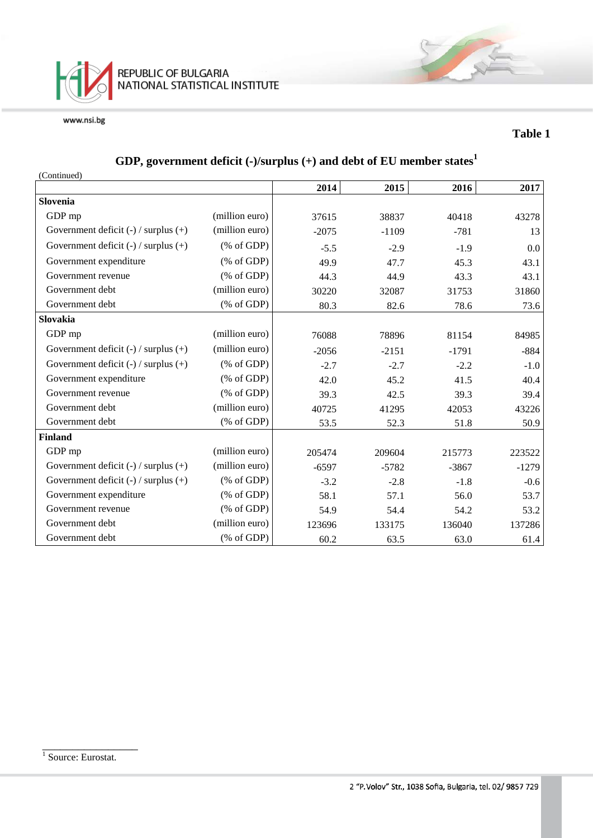

### **Table 1**

# **GDP, government deficit (-)/surplus (+) and debt of EU member states<sup>1</sup>**

| (Continued)                              |                                                       |         |         |         |         |
|------------------------------------------|-------------------------------------------------------|---------|---------|---------|---------|
|                                          |                                                       | 2014    | 2015    | 2016    | 2017    |
| Slovenia                                 |                                                       |         |         |         |         |
| GDP mp                                   | (million euro)                                        | 37615   | 38837   | 40418   | 43278   |
| Government deficit $(-)$ / surplus $(+)$ | (million euro)                                        | $-2075$ | $-1109$ | $-781$  | 13      |
| Government deficit $(-)$ / surplus $(+)$ | $(\% \text{ of GDP})$                                 | $-5.5$  | $-2.9$  | $-1.9$  | 0.0     |
| Government expenditure                   | $(% \mathcal{L}_{0}^{\infty}$ (% of GDP)              | 49.9    | 47.7    | 45.3    | 43.1    |
| Government revenue                       | $(% \mathcal{L}_{0}^{\infty}$ (% of GDP)              | 44.3    | 44.9    | 43.3    | 43.1    |
| Government debt                          | (million euro)                                        | 30220   | 32087   | 31753   | 31860   |
| Government debt                          | $(% \mathcal{L}_{0} \cap \mathcal{L}_{1})$ (% of GDP) | 80.3    | 82.6    | 78.6    | 73.6    |
| Slovakia                                 |                                                       |         |         |         |         |
| GDP mp                                   | (million euro)                                        | 76088   | 78896   | 81154   | 84985   |
| Government deficit $(-)$ / surplus $(+)$ | (million euro)                                        | $-2056$ | $-2151$ | $-1791$ | $-884$  |
| Government deficit $(-)$ / surplus $(+)$ | $(\% \text{ of GDP})$                                 | $-2.7$  | $-2.7$  | $-2.2$  | $-1.0$  |
| Government expenditure                   | $(% \mathcal{L}_{0}^{\infty}$ (% of GDP)              | 42.0    | 45.2    | 41.5    | 40.4    |
| Government revenue                       | $(% \mathcal{L}_{0}^{\infty}$ (% of GDP)              | 39.3    | 42.5    | 39.3    | 39.4    |
| Government debt                          | (million euro)                                        | 40725   | 41295   | 42053   | 43226   |
| Government debt                          | $(% \mathcal{L}_{0} \cap \mathcal{L}_{1})$ (% of GDP) | 53.5    | 52.3    | 51.8    | 50.9    |
| <b>Finland</b>                           |                                                       |         |         |         |         |
| GDP mp                                   | (million euro)                                        | 205474  | 209604  | 215773  | 223522  |
| Government deficit $(-)$ / surplus $(+)$ | (million euro)                                        | $-6597$ | $-5782$ | $-3867$ | $-1279$ |
| Government deficit $(-)$ / surplus $(+)$ | % of GDP                                              | $-3.2$  | $-2.8$  | $-1.8$  | $-0.6$  |
| Government expenditure                   | $(% \mathcal{L}_{0}^{\infty}$ (% of GDP)              | 58.1    | 57.1    | 56.0    | 53.7    |
| Government revenue                       | $(% \mathcal{L}_{0}^{\infty}$ (% of GDP)              | 54.9    | 54.4    | 54.2    | 53.2    |
| Government debt                          | (million euro)                                        | 123696  | 133175  | 136040  | 137286  |
| Government debt                          | $(% \mathcal{L}_{0}^{\infty}$ (% of GDP)              | 60.2    | 63.5    | 63.0    | 61.4    |

\_\_\_\_\_\_\_\_\_\_\_\_\_\_\_\_

<sup>&</sup>lt;sup>1</sup> Source: Eurostat.